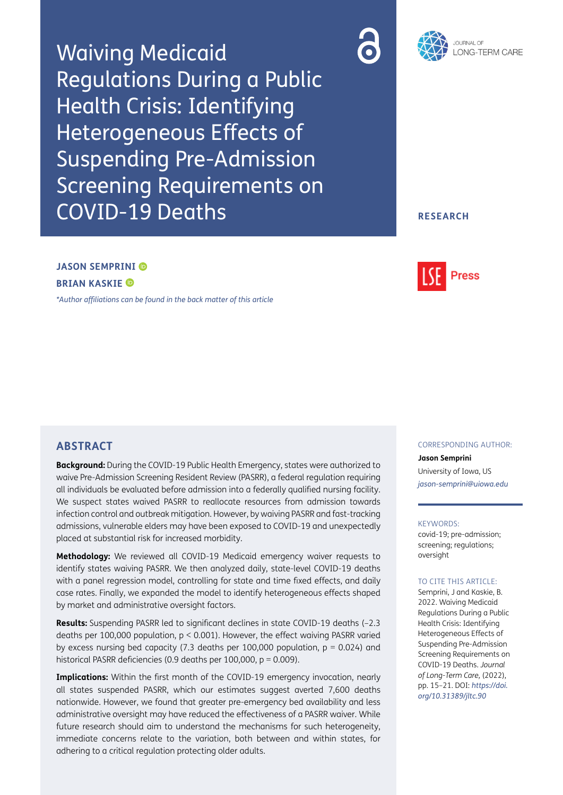Waiving Medicaid Regulations During a Public Health Crisis: Identifying Heterogeneous Effects of Suspending Pre-Admission Screening Requirements on COVID-19 Deaths





### **RESEARCH**

# **JASON SEMPRINI BRIAN KASKIE**

*[\\*Author affiliations can be found in the back matter of this article](#page-5-0)*



### **ABSTRACT**

**Background:** During the COVID-19 Public Health Emergency, states were authorized to waive Pre-Admission Screening Resident Review (PASRR), a federal regulation requiring all individuals be evaluated before admission into a federally qualified nursing facility. We suspect states waived PASRR to reallocate resources from admission towards infection control and outbreak mitigation. However, by waiving PASRR and fast-tracking admissions, vulnerable elders may have been exposed to COVID-19 and unexpectedly placed at substantial risk for increased morbidity.

**Methodology:** We reviewed all COVID-19 Medicaid emergency waiver requests to identify states waiving PASRR. We then analyzed daily, state-level COVID-19 deaths with a panel regression model, controlling for state and time fixed effects, and daily case rates. Finally, we expanded the model to identify heterogeneous effects shaped by market and administrative oversight factors.

**Results:** Suspending PASRR led to significant declines in state COVID-19 deaths (–2.3 deaths per 100,000 population, p < 0.001). However, the effect waiving PASRR varied by excess nursing bed capacity (7.3 deaths per 100,000 population,  $p = 0.024$ ) and historical PASRR deficiencies (0.9 deaths per 100,000, p = 0.009).

**Implications:** Within the first month of the COVID-19 emergency invocation, nearly all states suspended PASRR, which our estimates suggest averted 7,600 deaths nationwide. However, we found that greater pre-emergency bed availability and less administrative oversight may have reduced the effectiveness of a PASRR waiver. While future research should aim to understand the mechanisms for such heterogeneity, immediate concerns relate to the variation, both between and within states, for adhering to a critical regulation protecting older adults.

#### CORRESPONDING AUTHOR:

**Jason Semprini** University of Iowa, US *[jason-semprini@uiowa.edu](mailto:jason-semprini@uiowa.edu)*

#### KEYWORDS:

covid-19; pre-admission; screening; regulations; oversight

#### TO CITE THIS ARTICLE:

Semprini, J and Kaskie, B. 2022. Waiving Medicaid Regulations During a Public Health Crisis: Identifying Heterogeneous Effects of Suspending Pre-Admission Screening Requirements on COVID-19 Deaths. *Journal of Long-Term Care,* (2022), pp. 15–21. DOI: *[https://doi.](https://doi.org/10.31389/jltc.90) [org/10.31389/jltc.90](https://doi.org/10.31389/jltc.90)*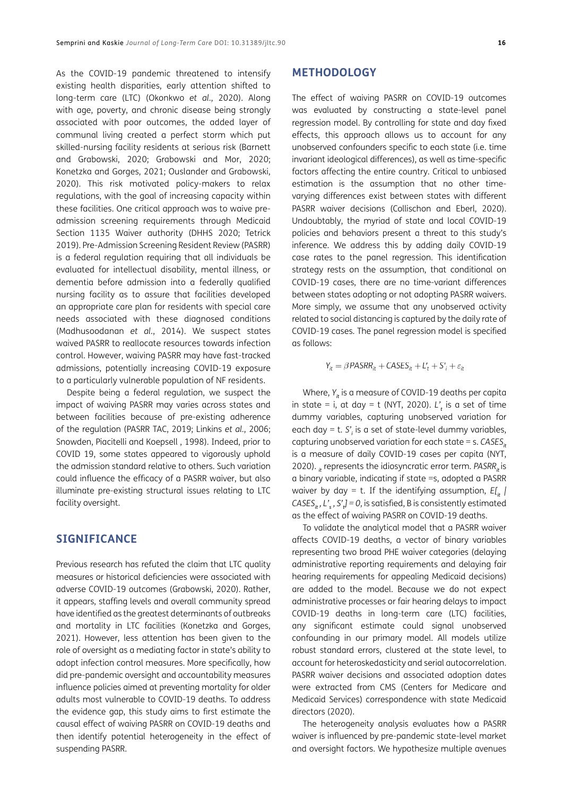As the COVID-19 pandemic threatened to intensify existing health disparities, early attention shifted to long-term care (LTC) [\(Okonkwo](#page-6-0) *et al.*, 2020). Along with age, poverty, and chronic disease being strongly associated with poor outcomes, the added layer of communal living created a perfect storm which put skilled-nursing facility residents at serious risk ([Barnett](#page-5-1) [and Grabowski, 2020](#page-5-1); [Grabowski and Mor, 2020](#page-5-1); [Konetzka and Gorges, 2021](#page-5-1); [Ouslander and Grabowski,](#page-6-0) [2020](#page-6-0)). This risk motivated policy-makers to relax regulations, with the goal of increasing capacity within these facilities. One critical approach was to waive preadmission screening requirements through Medicaid Section 1135 Waiver authority [\(DHHS 2020;](#page-6-0) [Tetrick](#page-6-0) [2019](#page-6-0)). Pre-Admission Screening Resident Review (PASRR) is a federal regulation requiring that all individuals be evaluated for intellectual disability, mental illness, or dementia before admission into a federally qualified nursing facility as to assure that facilities developed an appropriate care plan for residents with special care needs associated with these diagnosed conditions ([Madhusoodanan](#page-5-1) *et al.*, 2014). We suspect states waived PASRR to reallocate resources towards infection control. However, waiving PASRR may have fast-tracked admissions, potentially increasing COVID-19 exposure to a particularly vulnerable population of NF residents.

Despite being a federal regulation, we suspect the impact of waiving PASRR may varies across states and between facilities because of pre-existing adherence of the regulation [\(PASRR TAC, 2019](#page-6-0); [Linkins](#page-5-1) *et al.*, 2006; [Snowden, Piacitelli and Koepsell , 1998\)](#page-6-0). Indeed, prior to COVID 19, some states appeared to vigorously uphold the admission standard relative to others. Such variation could influence the efficacy of a PASRR waiver, but also illuminate pre-existing structural issues relating to LTC facility oversight.

### **SIGNIFICANCE**

Previous research has refuted the claim that LTC quality measures or historical deficiencies were associated with adverse COVID-19 outcomes (Grabowski, 2020). Rather, it appears, staffing levels and overall community spread have identified as the greatest determinants of outbreaks and mortality in LTC facilities ([Konetzka and Gorges,](#page-5-1) [2021](#page-5-1)). However, less attention has been given to the role of oversight as a mediating factor in state's ability to adopt infection control measures. More specifically, how did pre-pandemic oversight and accountability measures influence policies aimed at preventing mortality for older adults most vulnerable to COVID-19 deaths. To address the evidence gap, this study aims to first estimate the causal effect of waiving PASRR on COVID-19 deaths and then identify potential heterogeneity in the effect of suspending PASRR.

#### **METHODOLOGY**

The effect of waiving PASRR on COVID-19 outcomes was evaluated by constructing a state-level panel regression model. By controlling for state and day fixed effects, this approach allows us to account for any unobserved confounders specific to each state (i.e. time invariant ideological differences), as well as time-specific factors affecting the entire country. Critical to unbiased estimation is the assumption that no other timevarying differences exist between states with different PASRR waiver decisions ([Collischon and Eberl, 2020\)](#page-5-1). Undoubtably, the myriad of state and local COVID-19 policies and behaviors present a threat to this study's inference. We address this by adding daily COVID-19 case rates to the panel regression. This identification strategy rests on the assumption, that conditional on COVID-19 cases, there are no time-variant differences between states adopting or not adopting PASRR waivers. More simply, we assume that any unobserved activity related to social distancing is captured by the daily rate of COVID-19 cases. The panel regression model is specified as follows:

 $Y_{it} = \beta$  *PASRR*<sub>it</sub> + *CASES*<sub>it</sub> +  $L'$ <sub>t</sub> +  $S'$ <sub>j</sub> +  $\varepsilon$ <sub>it</sub>

Where,  $Y_i$  is a measure of COVID-19 deaths per capita in state = i, at day = t [\(NYT, 2020\)](#page-5-1). *L'<sup>t</sup>* is a set of time dummy variables, capturing unobserved variation for each day = t. *S'<sup>i</sup>* is a set of state-level dummy variables, capturing unobserved variation for each state = s. *CASESit* is a measure of daily COVID-19 cases per capita [\(NYT,](#page-5-1)  [2020\)](#page-5-1). *<i>x* represents the idiosyncratic error term. PASRR<sub>*is*</sub> is</sub> a binary variable, indicating if state =s, adopted a PASRR waiver by day = t. If the identifying assumption,  $E[i_t]$ *CASESit , L'<sup>s</sup> , S'<sup>t</sup> ] = 0*, is satisfied, B is consistently estimated as the effect of waiving PASRR on COVID-19 deaths.

To validate the analytical model that a PASRR waiver affects COVID-19 deaths, a vector of binary variables representing two broad PHE waiver categories (delaying administrative reporting requirements and delaying fair hearing requirements for appealing Medicaid decisions) are added to the model. Because we do not expect administrative processes or fair hearing delays to impact COVID-19 deaths in long-term care (LTC) facilities, any significant estimate could signal unobserved confounding in our primary model. All models utilize robust standard errors, clustered at the state level, to account for heteroskedasticity and serial autocorrelation. PASRR waiver decisions and associated adoption dates were extracted from CMS (Centers for Medicare and Medicaid Services) correspondence with state Medicaid directors [\(2020\)](#page-5-1).

The heterogeneity analysis evaluates how a PASRR waiver is influenced by pre-pandemic state-level market and oversight factors. We hypothesize multiple avenues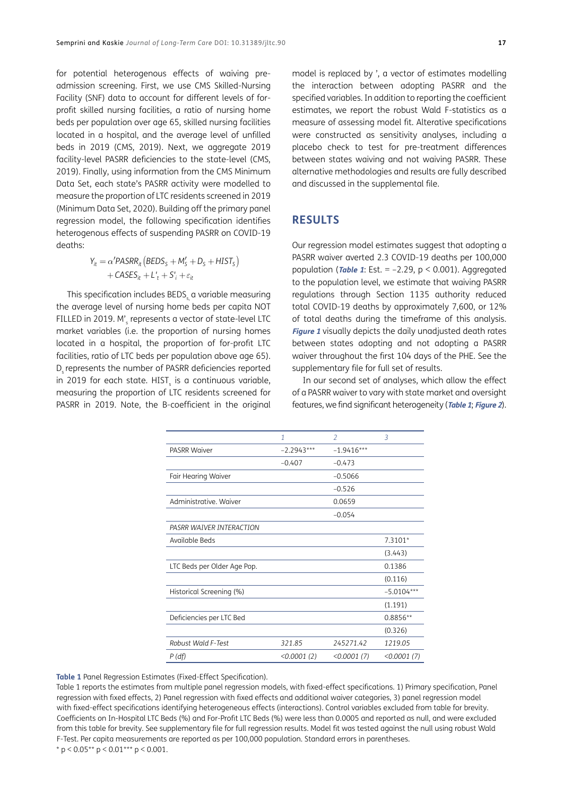for potential heterogenous effects of waiving preadmission screening. First, we use CMS Skilled-Nursing Facility (SNF) data to account for different levels of forprofit skilled nursing facilities, a ratio of nursing home beds per population over age 65, skilled nursing facilities located in a hospital, and the average level of unfilled beds in 2019 ([CMS, 2019\)](#page-5-1). Next, we aggregate 2019 facility-level PASRR deficiencies to the state-level [\(CMS,](#page-5-1) [2019](#page-5-1)). Finally, using information from the CMS Minimum Data Set, each state's PASRR activity were modelled to measure the proportion of LTC residents screened in 2019 [\(Minimum Data Set, 2020](#page-5-1)). Building off the primary panel regression model, the following specification identifies heterogenous effects of suspending PASRR on COVID-19 deaths:

$$
Y_{it} = \alpha' PASRR_{it} (BEDS_S + M'_S + D_S + HIST_S)
$$
  
+ CASES<sub>it</sub> + L'<sub>t</sub> + S'<sub>i</sub> + \varepsilon<sub>it</sub>

This specification includes BEDS, a variable measuring the average level of nursing home beds per capita NOT FILLED in 2019. M'<sub>s</sub> represents a vector of state-level LTC market variables (i.e. the proportion of nursing homes located in a hospital, the proportion of for-profit LTC facilities, ratio of LTC beds per population above age 65). D represents the number of PASRR deficiencies reported in 2019 for each state.  ${\tt HIST}_{\sf s}$  is a continuous variable, measuring the proportion of LTC residents screened for PASRR in 2019. Note, the B-coefficient in the original model is replaced by ', a vector of estimates modelling the interaction between adopting PASRR and the specified variables. In addition to reporting the coefficient estimates, we report the robust Wald F-statistics as a measure of assessing model fit. Alterative specifications were constructed as sensitivity analyses, including a placebo check to test for pre-treatment differences between states waiving and not waiving PASRR. These alternative methodologies and results are fully described and discussed in the supplemental file.

## **RESULTS**

Our regression model estimates suggest that adopting a PASRR waiver averted 2.3 COVID-19 deaths per 100,000 population (*[Table 1](#page-2-0)*: Est.  $= -2.29$ ,  $p < 0.001$ ). Aggregated to the population level, we estimate that waiving PASRR regulations through Section 1135 authority reduced total COVID-19 deaths by approximately 7,600, or 12% of total deaths during the timeframe of this analysis. **[Figure 1](#page-3-0)** visually depicts the daily unadjusted death rates between states adopting and not adopting a PASRR waiver throughout the first 104 days of the PHE. See the supplementary file for full set of results.

In our second set of analyses, which allow the effect of a PASRR waiver to vary with state market and oversight features, we find significant heterogeneity (**[Table 1](#page-2-0)**; **[Figure 2](#page-4-0)**).

|                             | 1            | $\mathcal{P}$ | 3            |
|-----------------------------|--------------|---------------|--------------|
| <b>PASRR Waiver</b>         | $-2.2943***$ | $-1.9416***$  |              |
|                             | $-0.407$     | $-0.473$      |              |
| Fair Hearing Waiver         |              | $-0.5066$     |              |
|                             |              | $-0.526$      |              |
| Administrative, Waiver      |              | 0.0659        |              |
|                             |              | $-0.054$      |              |
| PASRR WAIVER INTERACTION    |              |               |              |
| Available Beds              |              |               | $7.3101*$    |
|                             |              |               | (3.443)      |
| LTC Beds per Older Age Pop. |              |               | 0.1386       |
|                             |              |               | (0.116)      |
| Historical Screening (%)    |              |               | $-5.0104***$ |
|                             |              |               | (1.191)      |
| Deficiencies per LTC Bed    |              |               | $0.8856**$   |
|                             |              |               | (0.326)      |
| Robust Wald F-Test          | 321.85       | 245271.42     | 1219.05      |
| P (df)                      | < 0.0001(2)  | < 0.0001(7)   | <0.0001(7)   |

<span id="page-2-0"></span>**Table 1** Panel Regression Estimates (Fixed-Effect Specification).

Table 1 reports the estimates from multiple panel regression models, with fixed-effect specifications. 1) Primary specification, Panel regression with fixed effects, 2) Panel regression with fixed effects and additional waiver categories, 3) panel regression model with fixed-effect specifications identifying heterogeneous effects (interactions). Control variables excluded from table for brevity. Coefficients on In-Hospital LTC Beds (%) and For-Profit LTC Beds (%) were less than 0.0005 and reported as null, and were excluded from this table for brevity. See supplementary file for full regression results. Model fit was tested against the null using robust Wald F-Test. Per capita measurements are reported as per 100,000 population. Standard errors in parentheses.  $*$  p < 0.05 $*$  $*$  p < 0.01 $*$  $*$  $*$  p < 0.001.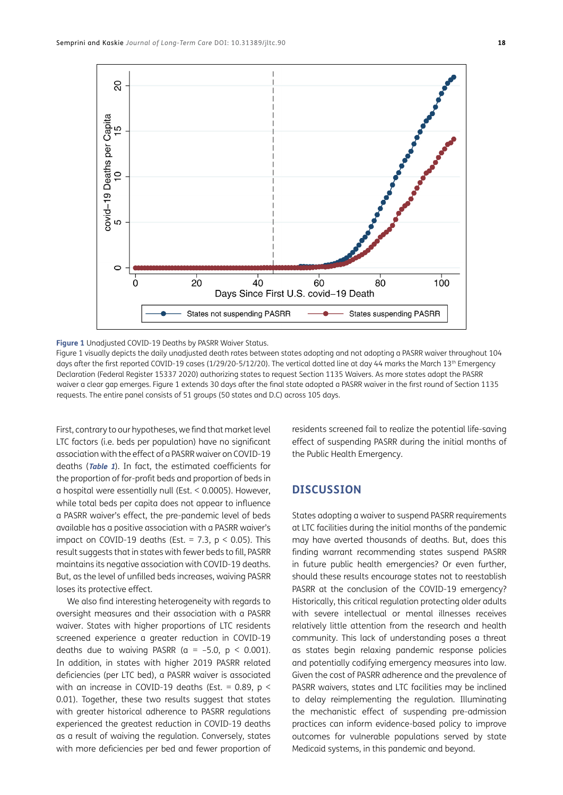

<span id="page-3-0"></span>**Figure 1** Unadjusted COVID-19 Deaths by PASRR Waiver Status.

Figure 1 visually depicts the daily unadjusted death rates between states adopting and not adopting a PASRR waiver throughout 104 days after the first reported COVID-19 cases (1/29/20-5/12/20). The vertical dotted line at day 44 marks the March 13<sup>th</sup> Emergency Declaration ([Federal Register 15337 2020](#page-5-1)) authorizing states to request Section 1135 Waivers. As more states adopt the PASRR waiver a clear gap emerges. Figure 1 extends 30 days after the final state adopted a PASRR waiver in the first round of Section 1135 requests. The entire panel consists of 51 groups (50 states and D.C) across 105 days.

First, contrary to our hypotheses, we find that market level LTC factors (i.e. beds per population) have no significant association with the effect of a PASRR waiver on COVID-19 deaths (**[Table 1](#page-2-0)**). In fact, the estimated coefficients for the proportion of for-profit beds and proportion of beds in a hospital were essentially null (Est. < 0.0005). However, while total beds per capita does not appear to influence a PASRR waiver's effect, the pre-pandemic level of beds available has a positive association with a PASRR waiver's impact on COVID-19 deaths (Est. = 7.3,  $p < 0.05$ ). This result suggests that in states with fewer beds to fill, PASRR maintains its negative association with COVID-19 deaths. But, as the level of unfilled beds increases, waiving PASRR loses its protective effect.

We also find interesting heterogeneity with regards to oversight measures and their association with a PASRR waiver. States with higher proportions of LTC residents screened experience a greater reduction in COVID-19 deaths due to waiving PASRR ( $a = -5.0$ ,  $p < 0.001$ ). In addition, in states with higher 2019 PASRR related deficiencies (per LTC bed), a PASRR waiver is associated with an increase in COVID-19 deaths (Est. =  $0.89$ , p < 0.01). Together, these two results suggest that states with greater historical adherence to PASRR regulations experienced the greatest reduction in COVID-19 deaths as a result of waiving the regulation. Conversely, states with more deficiencies per bed and fewer proportion of residents screened fail to realize the potential life-saving effect of suspending PASRR during the initial months of the Public Health Emergency.

## **DISCUSSION**

States adopting a waiver to suspend PASRR requirements at LTC facilities during the initial months of the pandemic may have averted thousands of deaths. But, does this finding warrant recommending states suspend PASRR in future public health emergencies? Or even further, should these results encourage states not to reestablish PASRR at the conclusion of the COVID-19 emergency? Historically, this critical regulation protecting older adults with severe intellectual or mental illnesses receives relatively little attention from the research and health community. This lack of understanding poses a threat as states begin relaxing pandemic response policies and potentially codifying emergency measures into law. Given the cost of PASRR adherence and the prevalence of PASRR waivers, states and LTC facilities may be inclined to delay reimplementing the regulation. Illuminating the mechanistic effect of suspending pre-admission practices can inform evidence-based policy to improve outcomes for vulnerable populations served by state Medicaid systems, in this pandemic and beyond.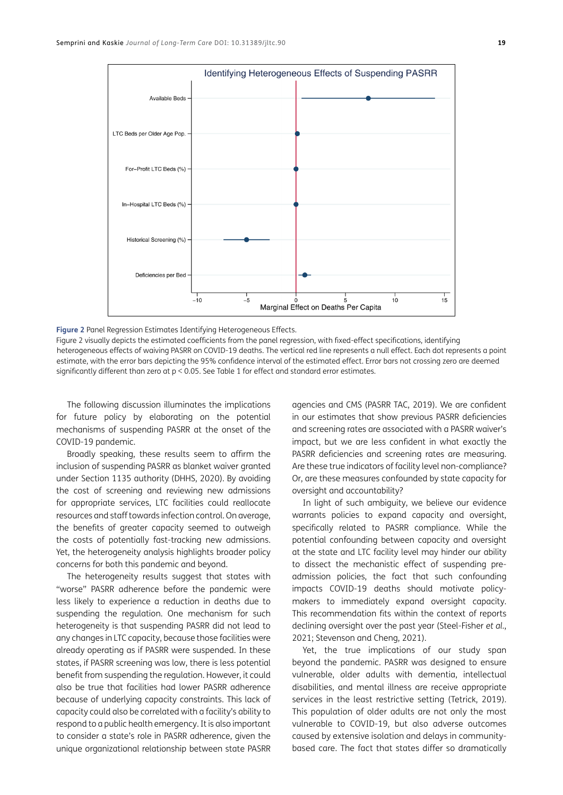

<span id="page-4-0"></span>**Figure 2** Panel Regression Estimates Identifying Heterogeneous Effects.

Figure 2 visually depicts the estimated coefficients from the panel regression, with fixed-effect specifications, identifying heterogeneous effects of waiving PASRR on COVID-19 deaths. The vertical red line represents a null effect. Each dot represents a point estimate, with the error bars depicting the 95% confidence interval of the estimated effect. Error bars not crossing zero are deemed significantly different than zero at p < 0.05. See Table 1 for effect and standard error estimates.

The following discussion illuminates the implications for future policy by elaborating on the potential mechanisms of suspending PASRR at the onset of the COVID-19 pandemic.

Broadly speaking, these results seem to affirm the inclusion of suspending PASRR as blanket waiver granted under Section 1135 authority [\(DHHS, 2020](#page-6-0)). By avoiding the cost of screening and reviewing new admissions for appropriate services, LTC facilities could reallocate resources and staff towards infection control. On average, the benefits of greater capacity seemed to outweigh the costs of potentially fast-tracking new admissions. Yet, the heterogeneity analysis highlights broader policy concerns for both this pandemic and beyond.

The heterogeneity results suggest that states with "worse" PASRR adherence before the pandemic were less likely to experience a reduction in deaths due to suspending the regulation. One mechanism for such heterogeneity is that suspending PASRR did not lead to any changes in LTC capacity, because those facilities were already operating as if PASRR were suspended. In these states, if PASRR screening was low, there is less potential benefit from suspending the regulation. However, it could also be true that facilities had lower PASRR adherence because of underlying capacity constraints. This lack of capacity could also be correlated with a facility's ability to respond to a public health emergency. It is also important to consider a state's role in PASRR adherence, given the unique organizational relationship between state PASRR

agencies and CMS (PASRR TAC, 2019). We are confident in our estimates that show previous PASRR deficiencies and screening rates are associated with a PASRR waiver's impact, but we are less confident in what exactly the PASRR deficiencies and screening rates are measuring. Are these true indicators of facility level non-compliance? Or, are these measures confounded by state capacity for oversight and accountability?

In light of such ambiguity, we believe our evidence warrants policies to expand capacity and oversight, specifically related to PASRR compliance. While the potential confounding between capacity and oversight at the state and LTC facility level may hinder our ability to dissect the mechanistic effect of suspending preadmission policies, the fact that such confounding impacts COVID-19 deaths should motivate policymakers to immediately expand oversight capacity. This recommendation fits within the context of reports declining oversight over the past year ([Steel-Fisher](#page-6-0) *et al.*, [2021; Stevenson and Cheng, 2021](#page-6-0)).

Yet, the true implications of our study span beyond the pandemic. PASRR was designed to ensure vulnerable, older adults with dementia, intellectual disabilities, and mental illness are receive appropriate services in the least restrictive setting ([Tetrick, 2019\)](#page-6-0). This population of older adults are not only the most vulnerable to COVID-19, but also adverse outcomes caused by extensive isolation and delays in communitybased care. The fact that states differ so dramatically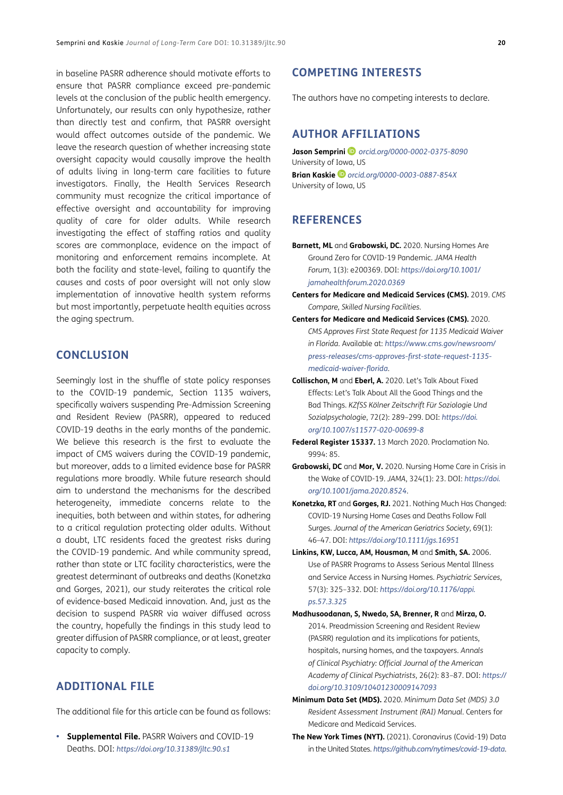<span id="page-5-1"></span>in baseline PASRR adherence should motivate efforts to ensure that PASRR compliance exceed pre-pandemic levels at the conclusion of the public health emergency. Unfortunately, our results can only hypothesize, rather than directly test and confirm, that PASRR oversight would affect outcomes outside of the pandemic. We leave the research question of whether increasing state oversight capacity would causally improve the health of adults living in long-term care facilities to future investigators. Finally, the Health Services Research community must recognize the critical importance of effective oversight and accountability for improving quality of care for older adults. While research investigating the effect of staffing ratios and quality scores are commonplace, evidence on the impact of monitoring and enforcement remains incomplete. At both the facility and state-level, failing to quantify the causes and costs of poor oversight will not only slow implementation of innovative health system reforms but most importantly, perpetuate health equities across the aging spectrum.

### **CONCLUSION**

Seemingly lost in the shuffle of state policy responses to the COVID-19 pandemic, Section 1135 waivers, specifically waivers suspending Pre-Admission Screening and Resident Review (PASRR), appeared to reduced COVID-19 deaths in the early months of the pandemic. We believe this research is the first to evaluate the impact of CMS waivers during the COVID-19 pandemic, but moreover, adds to a limited evidence base for PASRR regulations more broadly. While future research should aim to understand the mechanisms for the described heterogeneity, immediate concerns relate to the inequities, both between and within states, for adhering to a critical regulation protecting older adults. Without a doubt, LTC residents faced the greatest risks during the COVID-19 pandemic. And while community spread, rather than state or LTC facility characteristics, were the greatest determinant of outbreaks and deaths (Konetzka and Gorges, 2021), our study reiterates the critical role of evidence-based Medicaid innovation. And, just as the decision to suspend PASRR via waiver diffused across the country, hopefully the findings in this study lead to greater diffusion of PASRR compliance, or at least, greater capacity to comply.

## **ADDITIONAL FILE**

The additional file for this article can be found as follows:

**• Supplemental File.** PASRR Waivers and COVID-19 Deaths. DOI: *<https://doi.org/10.31389/jltc.90.s1>*

## **COMPETING INTERESTS**

The authors have no competing interests to declare.

## <span id="page-5-0"></span>**AUTHOR AFFILIATIONS**

**Jason Semprini** *[orcid.org/0000-0002-0375-8090](https://orcid.org/0000-0002-0375-8090)* University of Iowa, US **Brian Kaskie** *[orcid.org/0000-0003-0887-854X](https://orcid.org/0000-0003-0887-854X)* University of Iowa, US

### **REFERENCES**

- **Barnett, ML** and **Grabowski, DC.** 2020. Nursing Homes Are Ground Zero for COVID-19 Pandemic. *JAMA Health Forum*, 1(3): e200369. DOI: *[https://doi.org/10.1001/](https://doi.org/10.1001/jamahealthforum.2020.0369) [jamahealthforum.2020.0369](https://doi.org/10.1001/jamahealthforum.2020.0369)*
- **Centers for Medicare and Medicaid Services (CMS).** 2019. *CMS Compare, Skilled Nursing Facilities.*
- **Centers for Medicare and Medicaid Services (CMS).** 2020. *CMS Approves First State Request for 1135 Medicaid Waiver in Florida.* Available at: *[https://www.cms.gov/newsroom/](https://www.cms.gov/newsroom/press-releases/cms-approves-first-state-request-1135-medicaid-waiver-florida) [press-releases/cms-approves-first-state-request-1135](https://www.cms.gov/newsroom/press-releases/cms-approves-first-state-request-1135-medicaid-waiver-florida) [medicaid-waiver-florida](https://www.cms.gov/newsroom/press-releases/cms-approves-first-state-request-1135-medicaid-waiver-florida)*.
- **Collischon, M** and **Eberl, A.** 2020. Let's Talk About Fixed Effects: Let's Talk About All the Good Things and the Bad Things. *KZfSS Kölner Zeitschrift Für Soziologie Und Sozialpsychologie*, 72(2): 289–299. DOI: *[https://doi.](https://doi.org/10.1007/s11577-020-00699-8) [org/10.1007/s11577-020-00699-8](https://doi.org/10.1007/s11577-020-00699-8)*
- **Federal Register 15337.** 13 March 2020. Proclamation No. 9994: 85.
- **Grabowski, DC** and **Mor, V.** 2020. Nursing Home Care in Crisis in the Wake of COVID-19. *JAMA*, 324(1): 23. DOI: *[https://doi.](https://doi.org/10.1001/jama.2020.8524) [org/10.1001/jama.2020.8524](https://doi.org/10.1001/jama.2020.8524)*.
- **Konetzka, RT** and **Gorges, RJ.** 2021. Nothing Much Has Changed: COVID-19 Nursing Home Cases and Deaths Follow Fall Surges. *Journal of the American Geriatrics Society*, 69(1): 46–47. DOI: *<https://doi.org/10.1111/jgs.16951>*
- **Linkins, KW, Lucca, AM, Housman, M** and **Smith, SA.** 2006. Use of PASRR Programs to Assess Serious Mental Illness and Service Access in Nursing Homes. *Psychiatric Services*, 57(3): 325–332. DOI: *[https://doi.org/10.1176/appi.](https://doi.org/10.1176/appi.ps.57.3.325) [ps.57.3.325](https://doi.org/10.1176/appi.ps.57.3.325)*
- **Madhusoodanan, S, Nwedo, SA, Brenner, R** and **Mirza, O.** 2014. Preadmission Screening and Resident Review (PASRR) regulation and its implications for patients, hospitals, nursing homes, and the taxpayers. *Annals of Clinical Psychiatry: Official Journal of the American Academy of Clinical Psychiatrists*, 26(2): 83–87. DOI: *[https://](https://doi.org/10.3109/10401230009147093) [doi.org/10.3109/10401230009147093](https://doi.org/10.3109/10401230009147093)*
- **Minimum Data Set (MDS).** 2020. *Minimum Data Set (MDS) 3.0 Resident Assessment Instrument (RAI) Manual.* Centers for Medicare and Medicaid Services.
- **The New York Times (NYT).** (2021). Coronavirus (Covid-19) Data in the United States. *<https://github.com/nytimes/covid-19-data>*.